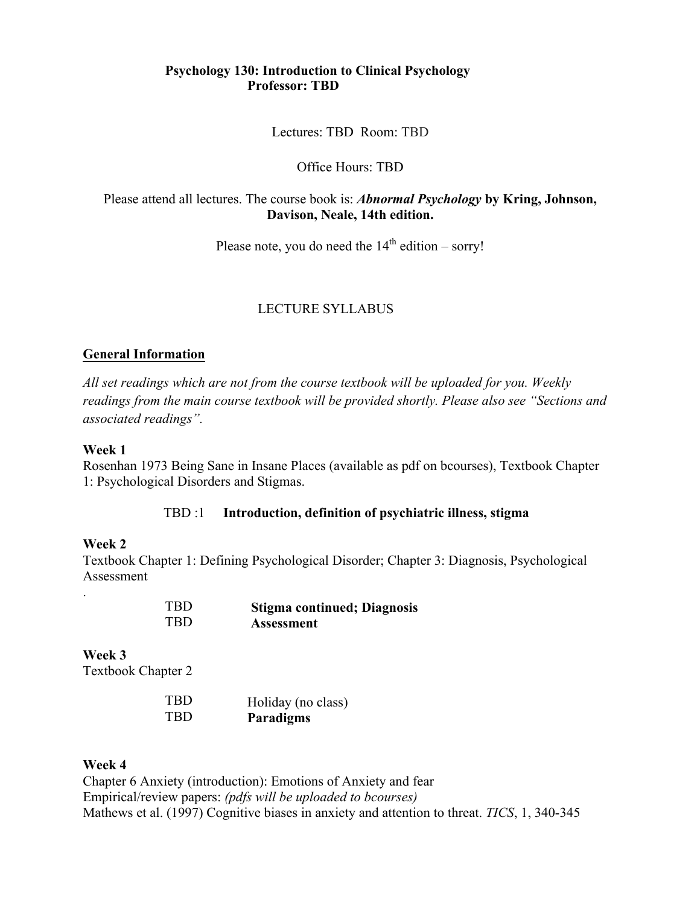## **Psychology 130: Introduction to Clinical Psychology Professor: TBD**

Lectures: TBD Room: TBD

Office Hours: TBD

Please attend all lectures. The course book is: *Abnormal Psychology* **by Kring, Johnson, Davison, Neale, 14th edition.** 

Please note, you do need the  $14<sup>th</sup>$  edition – sorry!

### LECTURE SYLLABUS

#### **General Information**

*All set readings which are not from the course textbook will be uploaded for you. Weekly readings from the main course textbook will be provided shortly. Please also see "Sections and associated readings".* 

#### **Week 1**

Rosenhan 1973 Being Sane in Insane Places (available as pdf on bcourses), Textbook Chapter 1: Psychological Disorders and Stigmas.

#### TBD :1 **Introduction, definition of psychiatric illness, stigma**

### **Week 2**

.

Textbook Chapter 1: Defining Psychological Disorder; Chapter 3: Diagnosis, Psychological Assessment

| <b>TBD</b> | <b>Stigma continued; Diagnosis</b> |
|------------|------------------------------------|
| <b>TBD</b> | <b>Assessment</b>                  |

**Week 3** Textbook Chapter 2

| <b>TBD</b> | Holiday (no class) |
|------------|--------------------|
| <b>TBD</b> | <b>Paradigms</b>   |

#### **Week 4**

Chapter 6 Anxiety (introduction): Emotions of Anxiety and fear Empirical/review papers: *(pdfs will be uploaded to bcourses)*  Mathews et al. (1997) Cognitive biases in anxiety and attention to threat. *TICS*, 1, 340-345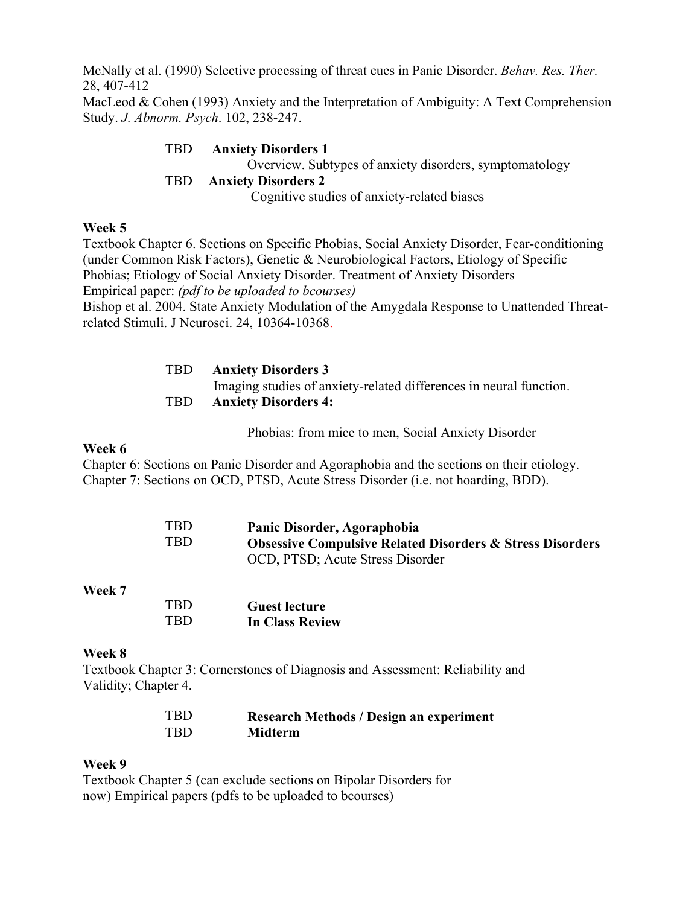McNally et al. (1990) Selective processing of threat cues in Panic Disorder. *Behav. Res. Ther.* 28, 407-412

MacLeod & Cohen (1993) Anxiety and the Interpretation of Ambiguity: A Text Comprehension Study. *J. Abnorm. Psych*. 102, 238-247.

> TBD **Anxiety Disorders 1** Overview. Subtypes of anxiety disorders, symptomatology

### TBD **Anxiety Disorders 2**

Cognitive studies of anxiety-related biases

## **Week 5**

Textbook Chapter 6. Sections on Specific Phobias, Social Anxiety Disorder, Fear-conditioning (under Common Risk Factors), Genetic & Neurobiological Factors, Etiology of Specific Phobias; Etiology of Social Anxiety Disorder. Treatment of Anxiety Disorders Empirical paper: *(pdf to be uploaded to bcourses)* Bishop et al. 2004. State Anxiety Modulation of the Amygdala Response to Unattended Threatrelated Stimuli. J Neurosci. 24, 10364-10368.

| <b>TBD</b> | <b>Anxiety Disorders 3</b>                                         |
|------------|--------------------------------------------------------------------|
|            | Imaging studies of anxiety-related differences in neural function. |
| <b>TBD</b> | <b>Anxiety Disorders 4:</b>                                        |

Phobias: from mice to men, Social Anxiety Disorder

## **Week 6**

Chapter 6: Sections on Panic Disorder and Agoraphobia and the sections on their etiology. Chapter 7: Sections on OCD, PTSD, Acute Stress Disorder (i.e. not hoarding, BDD).

| <b>TBD</b> | Panic Disorder, Agoraphobia                                          |
|------------|----------------------------------------------------------------------|
| TBD        | <b>Obsessive Compulsive Related Disorders &amp; Stress Disorders</b> |
|            | OCD, PTSD; Acute Stress Disorder                                     |

## **Week 7**

| <b>TRD</b> | <b>Guest lecture</b>   |
|------------|------------------------|
| <b>TRD</b> | <b>In Class Review</b> |

# **Week 8**

Textbook Chapter 3: Cornerstones of Diagnosis and Assessment: Reliability and Validity; Chapter 4.

| TBD. | <b>Research Methods / Design an experiment</b> |
|------|------------------------------------------------|
| TRD. | <b>Midterm</b>                                 |

# **Week 9**

Textbook Chapter 5 (can exclude sections on Bipolar Disorders for now) Empirical papers (pdfs to be uploaded to bcourses)